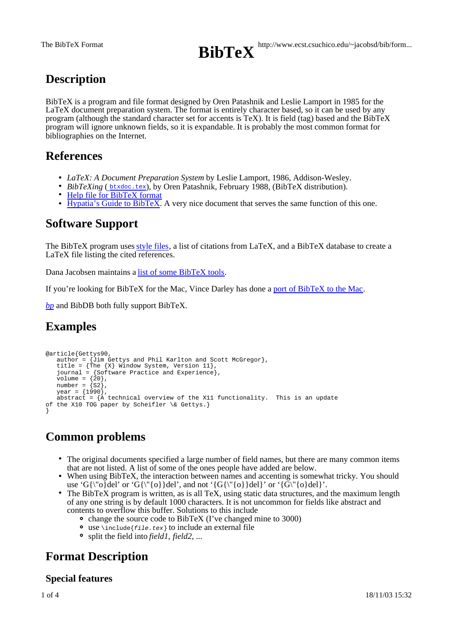

# **Description**

BibTeX is a program and file format designed by Oren Patashnik and Leslie Lamport in 1985 for the LaTeX document preparation system. The format is entirely character based, so it can be used by any program (although the standard character set for accents is TeX). It is field (tag) based and the BibTeX program will ignore unknown fields, so it is expandable. It is probably the most common format for bibliographies on the Internet.

## **References**

- *LaTeX: A Document Preparation System* by Leslie Lamport, 1986, Addison-Wesley.
- *BibTeXing* (*btxdoc.tex)*, by Oren Patashnik, February 1988, (BibTeX distribution).
- Help file for BibTeX format
- Hypatia's Guide to BibTeX. A very nice document that serves the same function of this one.

## **Software Support**

The BibTeX program uses style files, a list of citations from LaTeX, and a BibTeX database to create a LaTeX file listing the cited references.

Dana Jacobsen maintains a list of some BibTeX tools.

If you're looking for BibTeX for the Mac, Vince Darley has done a port of BibTeX to the Mac.

*bp* and BibDB both fully support BibTeX.

# **Examples**

```
@article{Gettys90,
 author = {Jim Gettys and Phil Karlton and Scott McGregor},
 title = {The {X} Window System, Version 11},
 journal = {Software Practice and Experience},
volume = \{20\},
  number = \{S2\},year = {1990} abstract = {A technical overview of the X11 functionality. This is an update
of the X10 TOG paper by Scheifler \& Gettys.}
}
```
# **Common problems**

- The original documents specified a large number of field names, but there are many common items that are not listed. A list of some of the ones people have added are below.
- When using BibTeX, the interaction between names and accenting is somewhat tricky. You should use 'G{\"o}del' or 'G{\"{o}}del', and not '{G{\"{o}}del}' or '{G\"{o}del}'.
- The BibTeX program is written, as is all TeX, using static data structures, and the maximum length of any one string is by default 1000 characters. It is not uncommon for fields like abstract and contents to overflow this buffer. Solutions to this include
	- change the source code to BibTeX (I've changed mine to 3000)
	- $\bullet$  use \include{*file.tex*} to include an external file
	- split the field into *field1*, *field2*, ...

# **Format Description**

## **Special features**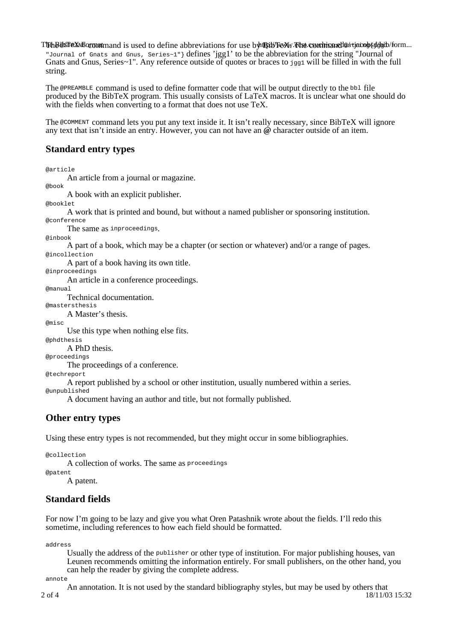The BibsTreX Formatmand is used to define abbreviations for use by the WW. The command detacobs of goid form... "Journal of Gnats and Gnus, Series~1"} defines 'jgg1' to be the abbreviation for the string "Journal of Gnats and Gnus, Series~1". Any reference outside of quotes or braces to jgg1 will be filled in with the full string.

The @PREAMBLE command is used to define formatter code that will be output directly to the bbl file produced by the BibTeX program. This usually consists of LaTeX macros. It is unclear what one should do with the fields when converting to a format that does not use TeX.

The @COMMENT command lets you put any text inside it. It isn't really necessary, since BibTeX will ignore any text that isn't inside an entry. However, you can not have an **@** character outside of an item.

## **Standard entry types**

@article

An article from a journal or magazine.

@book

A book with an explicit publisher.

@booklet

A work that is printed and bound, but without a named publisher or sponsoring institution. @conference

The same as inproceedings.

@inbook

A part of a book, which may be a chapter (or section or whatever) and/or a range of pages. @incollection

A part of a book having its own title.

@inproceedings

An article in a conference proceedings.

@manual

Technical documentation.

@mastersthesis A Master's thesis.

@misc

Use this type when nothing else fits.

@phdthesis

A PhD thesis.

@proceedings

The proceedings of a conference.

@techreport

A report published by a school or other institution, usually numbered within a series.

@unpublished

A document having an author and title, but not formally published.

## **Other entry types**

Using these entry types is not recommended, but they might occur in some bibliographies.

@collection

A collection of works. The same as proceedings

@patent

A patent.

## **Standard fields**

For now I'm going to be lazy and give you what Oren Patashnik wrote about the fields. I'll redo this sometime, including references to how each field should be formatted.

address

Usually the address of the publisher or other type of institution. For major publishing houses, van Leunen recommends omitting the information entirely. For small publishers, on the other hand, you can help the reader by giving the complete address.

annote

2 of 4 18/11/03 15:32 An annotation. It is not used by the standard bibliography styles, but may be used by others that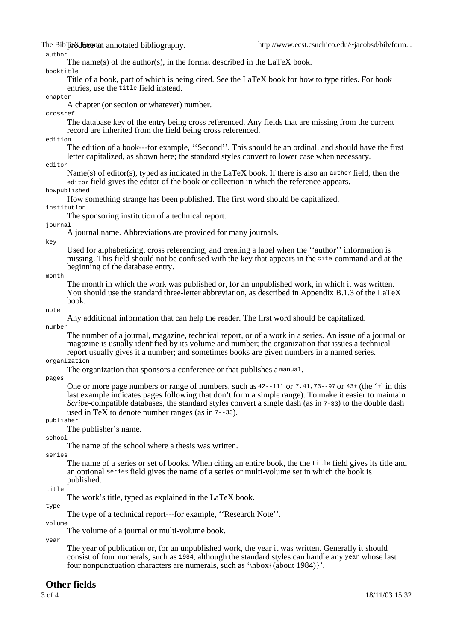The Bib preducemant annotated bibliography.

#### author

The name(s) of the author(s), in the format described in the LaTeX book.

booktitle

Title of a book, part of which is being cited. See the LaTeX book for how to type titles. For book entries, use the title field instead.

#### chapter

A chapter (or section or whatever) number.

crossref

The database key of the entry being cross referenced. Any fields that are missing from the current record are inherited from the field being cross referenced.

### edition

The edition of a book---for example, ''Second''. This should be an ordinal, and should have the first letter capitalized, as shown here; the standard styles convert to lower case when necessary.

editor

Name(s) of editor(s), typed as indicated in the LaTeX book. If there is also an author field, then the editor field gives the editor of the book or collection in which the reference appears.

### howpublished

How something strange has been published. The first word should be capitalized.

institution

The sponsoring institution of a technical report.

#### journal

A journal name. Abbreviations are provided for many journals.

#### key

Used for alphabetizing, cross referencing, and creating a label when the ''author'' information is missing. This field should not be confused with the key that appears in the cite command and at the beginning of the database entry.

#### mont.h

The month in which the work was published or, for an unpublished work, in which it was written. You should use the standard three-letter abbreviation, as described in Appendix B.1.3 of the LaTeX book.

#### note

Any additional information that can help the reader. The first word should be capitalized.

#### number

The number of a journal, magazine, technical report, or of a work in a series. An issue of a journal or magazine is usually identified by its volume and number; the organization that issues a technical report usually gives it a number; and sometimes books are given numbers in a named series.

### organization

The organization that sponsors a conference or that publishes a manual.

#### pages

One or more page numbers or range of numbers, such as  $42$ - $-111$  or  $7,41,73$ - $-97$  or  $43+$  (the '+' in this last example indicates pages following that don't form a simple range). To make it easier to maintain *Scribe*-compatible databases, the standard styles convert a single dash (as in 7-33) to the double dash used in TeX to denote number ranges (as in 7--33).

#### publisher

The publisher's name.

#### school

The name of the school where a thesis was written.

#### series

The name of a series or set of books. When citing an entire book, the the title field gives its title and an optional series field gives the name of a series or multi-volume set in which the book is published.

#### title

The work's title, typed as explained in the LaTeX book.

### type

The type of a technical report---for example, ''Research Note''.

volume

The volume of a journal or multi-volume book.

year

The year of publication or, for an unpublished work, the year it was written. Generally it should consist of four numerals, such as 1984, although the standard styles can handle any year whose last four nonpunctuation characters are numerals, such as '\hbox{(about 1984)}'.

### **Other fields**